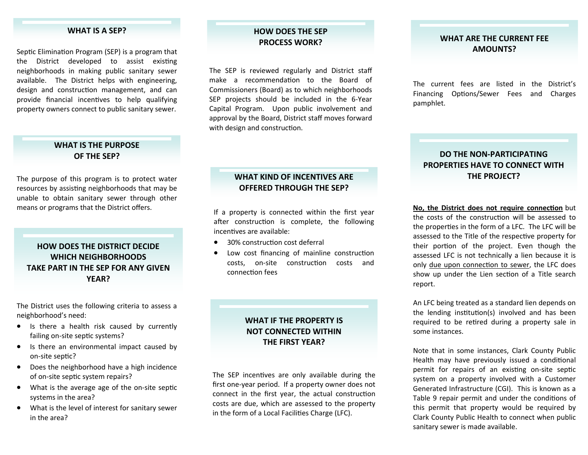#### **WHAT IS A SEP?**

Septic Elimination Program (SEP) is a program that the District developed to assist existing neighborhoods in making public sanitary sewer available. The District helps with engineering, design and construction management, and can provide financial incentives to help qualifying property owners connect to public sanitary sewer.

#### **WHAT IS THE PURPOSE OF THE SEP?**

The purpose of this program is to protect water resources by assisting neighborhoods that may be unable to obtain sanitary sewer through other means or programs that the District offers.

### **HOW DOES THE DISTRICT DECIDE WHICH NEIGHBORHOODS TAKE PART IN THE SEP FOR ANY GIVEN YEAR?**

The District uses the following criteria to assess a neighborhood's need:

- Is there a health risk caused by currently failing on-site septic systems?
- Is there an environmental impact caused by on-site septic?
- Does the neighborhood have a high incidence of on‐site sep Ɵc system repairs?
- What is the average age of the on-site septic systems in the area?
- What is the level of interest for sanitary sewer in the area?

# **HOW DOES THE SEP**

The SEP is reviewed regularly and District sta ffmake a recommendation to the Board of Commissioners (Board) as to which neighborhoods SEP projects should be included in the 6‐Year Capital Program. Upon public involvement and approval by the Board, District sta ff moves forward with design and construction.

### **WHAT KIND OF INCENTIVES ARE OFFERED THROUGH THE SEP?**

If a property is connected within the first year after construction is complete, the following incenƟves are available:

- $\bullet$ 30% construction cost deferral
- $\bullet$ Low cost financing of mainline construction costs, on-site construction costs and connecƟon fees

### **WHAT IF THE PROPERTY IS NOT CONNECTED WITHIN THE FIRST YEAR?**

The SEP incentives are only available during the first one‐year period. If a property owner does not connect in the first year, the actual construction costs are due, which are assessed to the property in the form of a Local Facilities Charge (LFC).

#### **PROCESS WORK? WHAT ARE THE CURRENT FEE AMOUNTS?**

The current fees are listed in the District's Financing Options/Sewer Fees and Charges pamphlet.

### **DO THE NON‐PARTICIPATING PROPERTIES HAVE TO CONNECT WITH THE PROJECT?**

**one of the Connection** but the superior of the state the first week. **No, the District does not require connection** but the costs of the construction will be assessed to the properties in the form of a LFC. The LFC will be assessed to the Title of the respective property for their portion of the project. Even though the assessed LFC is not technically a lien because it is only due upon connection to sewer, the LFC does show up under the Lien section of a Title search report.

> An LFC being treated as a standard lien depends on the lending institution(s) involved and has been required to be retired during a property sale in some instances.

> Note that in some instances, Clark County Public Health may have previously issued a conditional permit for repairs of an existing on-site septic system on a property involved with a Customer Generated Infrastructure (CGI). This is known as a Table 9 repair permit and under the conditions of this permit that property would be required by Clark County Public Health to connect when public sanitary sewer is made available.